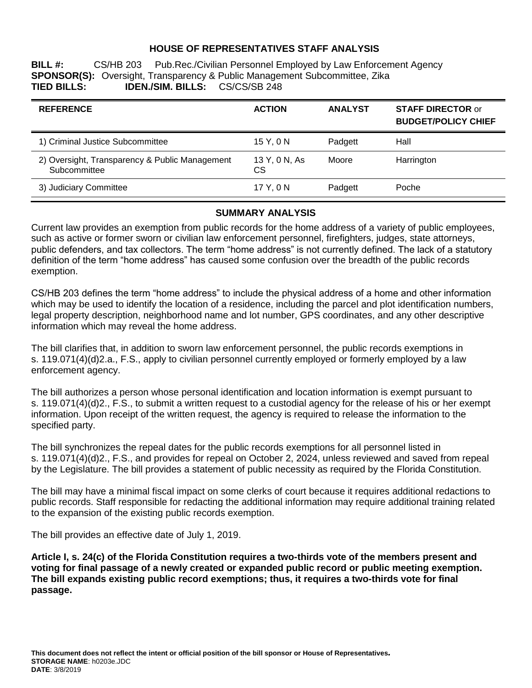## **HOUSE OF REPRESENTATIVES STAFF ANALYSIS**

**BILL #:** CS/HB 203 Pub.Rec./Civilian Personnel Employed by Law Enforcement Agency **SPONSOR(S):** Oversight, Transparency & Public Management Subcommittee, Zika<br>**TIED BILLS: IDEN./SIM. BILLS:** CS/CS/SB 248 **TIED BILLS: IDEN./SIM. BILLS:** CS/CS/SB 248

| <b>REFERENCE</b>                                               | <b>ACTION</b>       | <b>ANALYST</b> | <b>STAFF DIRECTOR or</b><br><b>BUDGET/POLICY CHIEF</b> |
|----------------------------------------------------------------|---------------------|----------------|--------------------------------------------------------|
| 1) Criminal Justice Subcommittee                               | 15 Y.ON             | Padgett        | Hall                                                   |
| 2) Oversight, Transparency & Public Management<br>Subcommittee | 13 Y, 0 N, As<br>СS | Moore          | Harrington                                             |
| 3) Judiciary Committee                                         | 17 Y.ON             | Padgett        | Poche                                                  |

#### **SUMMARY ANALYSIS**

Current law provides an exemption from public records for the home address of a variety of public employees, such as active or former sworn or civilian law enforcement personnel, firefighters, judges, state attorneys, public defenders, and tax collectors. The term "home address" is not currently defined. The lack of a statutory definition of the term "home address" has caused some confusion over the breadth of the public records exemption.

CS/HB 203 defines the term "home address" to include the physical address of a home and other information which may be used to identify the location of a residence, including the parcel and plot identification numbers, legal property description, neighborhood name and lot number, GPS coordinates, and any other descriptive information which may reveal the home address.

The bill clarifies that, in addition to sworn law enforcement personnel, the public records exemptions in s. 119.071(4)(d)2.a., F.S., apply to civilian personnel currently employed or formerly employed by a law enforcement agency.

The bill authorizes a person whose personal identification and location information is exempt pursuant to s. 119.071(4)(d)2., F.S., to submit a written request to a custodial agency for the release of his or her exempt information. Upon receipt of the written request, the agency is required to release the information to the specified party.

The bill synchronizes the repeal dates for the public records exemptions for all personnel listed in s. 119.071(4)(d)2., F.S., and provides for repeal on October 2, 2024, unless reviewed and saved from repeal by the Legislature. The bill provides a statement of public necessity as required by the Florida Constitution.

The bill may have a minimal fiscal impact on some clerks of court because it requires additional redactions to public records. Staff responsible for redacting the additional information may require additional training related to the expansion of the existing public records exemption.

The bill provides an effective date of July 1, 2019.

**Article I, s. 24(c) of the Florida Constitution requires a two-thirds vote of the members present and voting for final passage of a newly created or expanded public record or public meeting exemption. The bill expands existing public record exemptions; thus, it requires a two-thirds vote for final passage.**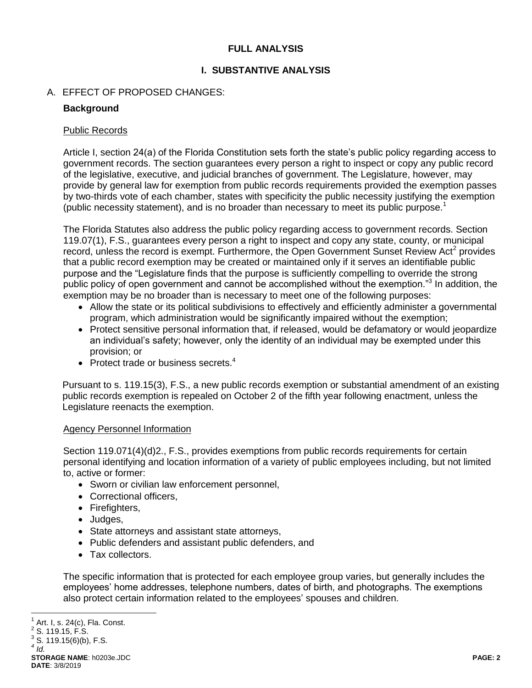## **FULL ANALYSIS**

# **I. SUBSTANTIVE ANALYSIS**

# A. EFFECT OF PROPOSED CHANGES:

## **Background**

### Public Records

Article I, section 24(a) of the Florida Constitution sets forth the state's public policy regarding access to government records. The section guarantees every person a right to inspect or copy any public record of the legislative, executive, and judicial branches of government. The Legislature, however, may provide by general law for exemption from public records requirements provided the exemption passes by two-thirds vote of each chamber, states with specificity the public necessity justifying the exemption (public necessity statement), and is no broader than necessary to meet its public purpose.<sup>1</sup>

The Florida Statutes also address the public policy regarding access to government records. Section 119.07(1), F.S., guarantees every person a right to inspect and copy any state, county, or municipal record, unless the record is exempt. Furthermore, the Open Government Sunset Review Act<sup>2</sup> provides that a public record exemption may be created or maintained only if it serves an identifiable public purpose and the "Legislature finds that the purpose is sufficiently compelling to override the strong public policy of open government and cannot be accomplished without the exemption."<sup>3</sup> In addition, the exemption may be no broader than is necessary to meet one of the following purposes:

- Allow the state or its political subdivisions to effectively and efficiently administer a governmental program, which administration would be significantly impaired without the exemption;
- Protect sensitive personal information that, if released, would be defamatory or would jeopardize an individual's safety; however, only the identity of an individual may be exempted under this provision; or
- Protect trade or business secrets. $4$

Pursuant to s. 119.15(3), F.S., a new public records exemption or substantial amendment of an existing public records exemption is repealed on October 2 of the fifth year following enactment, unless the Legislature reenacts the exemption.

## Agency Personnel Information

Section 119.071(4)(d)2., F.S., provides exemptions from public records requirements for certain personal identifying and location information of a variety of public employees including, but not limited to, active or former:

- Sworn or civilian law enforcement personnel,
- Correctional officers,
- Firefighters,
- Judges,
- State attorneys and assistant state attorneys,
- Public defenders and assistant public defenders, and
- Tax collectors.

The specific information that is protected for each employee group varies, but generally includes the employees' home addresses, telephone numbers, dates of birth, and photographs. The exemptions also protect certain information related to the employees' spouses and children.

**STORAGE NAME**: h0203e.JDC **PAGE: 2 DATE**: 3/8/2019

 $\overline{a}$ 1 Art. I, s. 24(c), Fla. Const.

 $2$  S. 119.15, F.S.  $3$  S. 119.15(6)(b), F.S.

*<sup>4</sup> Id.*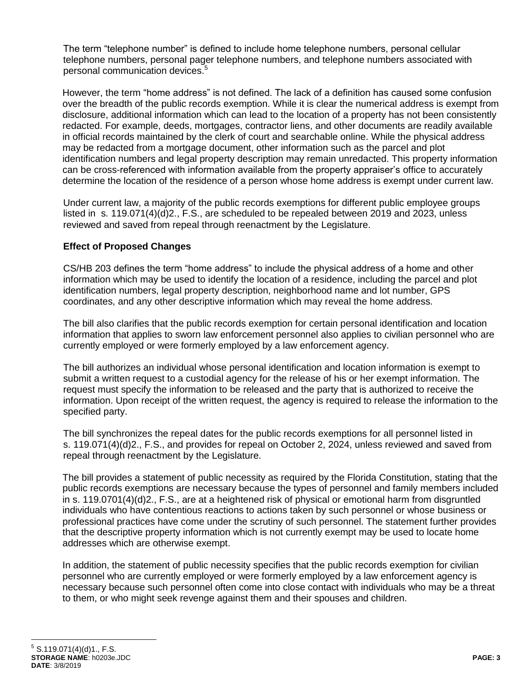The term "telephone number" is defined to include home telephone numbers, personal cellular telephone numbers, personal pager telephone numbers, and telephone numbers associated with personal communication devices.<sup>5</sup>

However, the term "home address" is not defined. The lack of a definition has caused some confusion over the breadth of the public records exemption. While it is clear the numerical address is exempt from disclosure, additional information which can lead to the location of a property has not been consistently redacted. For example, deeds, mortgages, contractor liens, and other documents are readily available in official records maintained by the clerk of court and searchable online. While the physical address may be redacted from a mortgage document, other information such as the parcel and plot identification numbers and legal property description may remain unredacted. This property information can be cross-referenced with information available from the property appraiser's office to accurately determine the location of the residence of a person whose home address is exempt under current law.

Under current law, a majority of the public records exemptions for different public employee groups listed in s. 119.071(4)(d)2., F.S., are scheduled to be repealed between 2019 and 2023, unless reviewed and saved from repeal through reenactment by the Legislature.

# **Effect of Proposed Changes**

CS/HB 203 defines the term "home address" to include the physical address of a home and other information which may be used to identify the location of a residence, including the parcel and plot identification numbers, legal property description, neighborhood name and lot number, GPS coordinates, and any other descriptive information which may reveal the home address.

The bill also clarifies that the public records exemption for certain personal identification and location information that applies to sworn law enforcement personnel also applies to civilian personnel who are currently employed or were formerly employed by a law enforcement agency.

The bill authorizes an individual whose personal identification and location information is exempt to submit a written request to a custodial agency for the release of his or her exempt information. The request must specify the information to be released and the party that is authorized to receive the information. Upon receipt of the written request, the agency is required to release the information to the specified party.

The bill synchronizes the repeal dates for the public records exemptions for all personnel listed in s. 119.071(4)(d)2., F.S., and provides for repeal on October 2, 2024, unless reviewed and saved from repeal through reenactment by the Legislature.

The bill provides a statement of public necessity as required by the Florida Constitution, stating that the public records exemptions are necessary because the types of personnel and family members included in s. 119.0701(4)(d)2., F.S., are at a heightened risk of physical or emotional harm from disgruntled individuals who have contentious reactions to actions taken by such personnel or whose business or professional practices have come under the scrutiny of such personnel. The statement further provides that the descriptive property information which is not currently exempt may be used to locate home addresses which are otherwise exempt.

In addition, the statement of public necessity specifies that the public records exemption for civilian personnel who are currently employed or were formerly employed by a law enforcement agency is necessary because such personnel often come into close contact with individuals who may be a threat to them, or who might seek revenge against them and their spouses and children.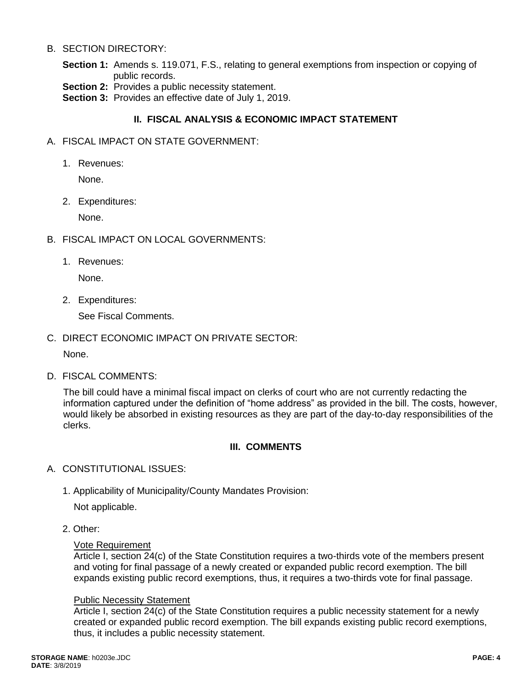### B. SECTION DIRECTORY:

- **Section 1:** Amends s. 119.071, F.S., relating to general exemptions from inspection or copying of public records.
- **Section 2:** Provides a public necessity statement.

**Section 3:** Provides an effective date of July 1, 2019.

# **II. FISCAL ANALYSIS & ECONOMIC IMPACT STATEMENT**

- A. FISCAL IMPACT ON STATE GOVERNMENT:
	- 1. Revenues:

None.

2. Expenditures:

None.

- B. FISCAL IMPACT ON LOCAL GOVERNMENTS:
	- 1. Revenues:

None.

2. Expenditures:

See Fiscal Comments.

C. DIRECT ECONOMIC IMPACT ON PRIVATE SECTOR:

None.

D. FISCAL COMMENTS:

The bill could have a minimal fiscal impact on clerks of court who are not currently redacting the information captured under the definition of "home address" as provided in the bill. The costs, however, would likely be absorbed in existing resources as they are part of the day-to-day responsibilities of the clerks.

## **III. COMMENTS**

- A. CONSTITUTIONAL ISSUES:
	- 1. Applicability of Municipality/County Mandates Provision:

Not applicable.

2. Other:

#### Vote Requirement

Article I, section 24(c) of the State Constitution requires a two-thirds vote of the members present and voting for final passage of a newly created or expanded public record exemption. The bill expands existing public record exemptions, thus, it requires a two-thirds vote for final passage.

#### Public Necessity Statement

Article I, section 24(c) of the State Constitution requires a public necessity statement for a newly created or expanded public record exemption. The bill expands existing public record exemptions, thus, it includes a public necessity statement.